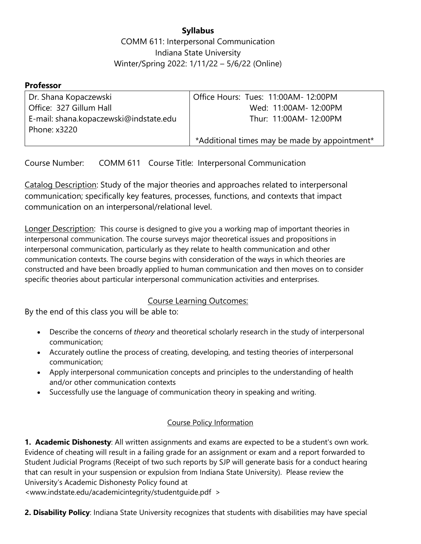# **Syllabus**

COMM 611: Interpersonal Communication Indiana State University Winter/Spring 2022: 1/11/22 – 5/6/22 (Online)

### **Professor**

| Dr. Shana Kopaczewski                  | Office Hours: Tues: 11:00AM- 12:00PM          |
|----------------------------------------|-----------------------------------------------|
| l Office: 327 Gillum Hall              | Wed: 11:00AM- 12:00PM                         |
| E-mail: shana.kopaczewski@indstate.edu | Thur: 11:00AM- 12:00PM                        |
| Phone: x3220                           |                                               |
|                                        | *Additional times may be made by appointment* |

Course Number: COMM 611 Course Title: Interpersonal Communication

Catalog Description: Study of the major theories and approaches related to interpersonal communication; specifically key features, processes, functions, and contexts that impact communication on an interpersonal/relational level.

Longer Description: This course is designed to give you a working map of important theories in interpersonal communication. The course surveys major theoretical issues and propositions in interpersonal communication, particularly as they relate to health communication and other communication contexts. The course begins with consideration of the ways in which theories are constructed and have been broadly applied to human communication and then moves on to consider specific theories about particular interpersonal communication activities and enterprises.

## Course Learning Outcomes:

By the end of this class you will be able to:

- Describe the concerns of *theory* and theoretical scholarly research in the study of interpersonal communication;
- Accurately outline the process of creating, developing, and testing theories of interpersonal communication;
- Apply interpersonal communication concepts and principles to the understanding of health and/or other communication contexts
- Successfully use the language of communication theory in speaking and writing.

## Course Policy Information

**1. Academic Dishonesty**: All written assignments and exams are expected to be a student's own work. Evidence of cheating will result in a failing grade for an assignment or exam and a report forwarded to Student Judicial Programs (Receipt of two such reports by SJP will generate basis for a conduct hearing that can result in your suspension or expulsion from Indiana State University). Please review the University's Academic Dishonesty Policy found at

<www.indstate.edu/academicintegrity/studentguide.pdf >

**2. Disability Policy**: Indiana State University recognizes that students with disabilities may have special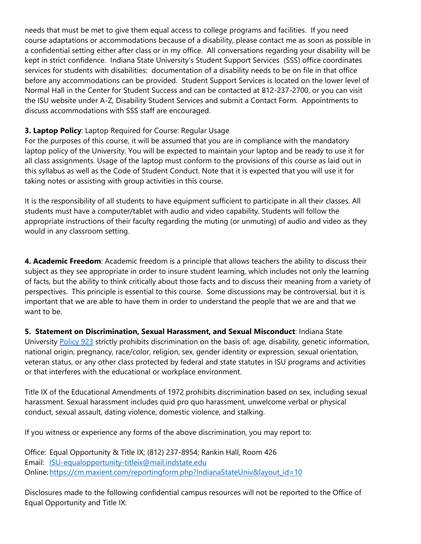needs that must be met to give them equal access to college programs and facilities. If you need course adaptations or accommodations because of a disability, please contact me as soon as possible in a confidential setting either after class or in my office. All conversations regarding your disability will be kept in strict confidence. Indiana State University's Student Support Services (SSS) office coordinates services for students with disabilities: documentation of a disability needs to be on file in that office before any accommodations can be provided. Student Support Services is located on the lower level of Normal Hall in the Center for Student Success and can be contacted at 812-237-2700, or you can visit the ISU website under A-Z, Disability Student Services and submit a Contact Form. Appointments to discuss accommodations with SSS staff are encouraged.

### **3. Laptop Policy**: Laptop Required for Course: Regular Usage

For the purposes of this course, it will be assumed that you are in compliance with the mandatory laptop policy of the University. You will be expected to maintain your laptop and be ready to use it for all class assignments. Usage of the laptop must conform to the provisions of this course as laid out in this syllabus as well as the Code of Student Conduct. Note that it is expected that you will use it for taking notes or assisting with group activities in this course.

It is the responsibility of all students to have equipment sufficient to participate in all their classes. All students must have a computer/tablet with audio and video capability. Students will follow the appropriate instructions of their faculty regarding the muting (or unmuting) of audio and video as they would in any classroom setting.

**4. Academic Freedom**: Academic freedom is a principle that allows teachers the ability to discuss their subject as they see appropriate in order to insure student learning, which includes not only the learning of facts, but the ability to think critically about those facts and to discuss their meaning from a variety of perspectives. This principle is essential to this course. Some discussions may be controversial, but it is important that we are able to have them in order to understand the people that we are and that we want to be.

**5. Statement on Discrimination, Sexual Harassment, and Sexual Misconduct**: Indiana State University Policy 923 strictly prohibits discrimination on the basis of: age, disability, genetic information, national origin, pregnancy, race/color, religion, sex, gender identity or expression, sexual orientation, veteran status, or any other class protected by federal and state statutes in ISU programs and activities or that interferes with the educational or workplace environment.

Title IX of the Educational Amendments of 1972 prohibits discrimination based on sex, including sexual harassment. Sexual harassment includes quid pro quo harassment, unwelcome verbal or physical conduct, sexual assault, dating violence, domestic violence, and stalking.

If you witness or experience any forms of the above discrimination, you may report to:

Office: Equal Opportunity & Title IX; (812) 237-8954; Rankin Hall, Room 426 Email: ISU-equalopportunity-titleix@mail.indstate.edu Online: https://cm.maxient.com/reportingform.php?IndianaStateUniv&layout\_id=10

Disclosures made to the following confidential campus resources will not be reported to the Office of Equal Opportunity and Title IX: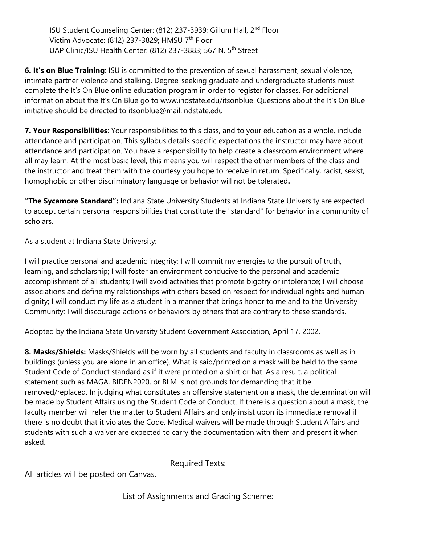ISU Student Counseling Center: (812) 237-3939; Gillum Hall, 2nd Floor Victim Advocate: (812) 237-3829; HMSU 7<sup>th</sup> Floor UAP Clinic/ISU Health Center: (812) 237-3883; 567 N. 5th Street

**6. It's on Blue Training**: ISU is committed to the prevention of sexual harassment, sexual violence, intimate partner violence and stalking. Degree-seeking graduate and undergraduate students must complete the It's On Blue online education program in order to register for classes. For additional information about the It's On Blue go to www.indstate.edu/itsonblue. Questions about the It's On Blue initiative should be directed to itsonblue@mail.indstate.edu

**7. Your Responsibilities**: Your responsibilities to this class, and to your education as a whole, include attendance and participation. This syllabus details specific expectations the instructor may have about attendance and participation. You have a responsibility to help create a classroom environment where all may learn. At the most basic level, this means you will respect the other members of the class and the instructor and treat them with the courtesy you hope to receive in return. Specifically, racist, sexist, homophobic or other discriminatory language or behavior will not be tolerated**.** 

**"The Sycamore Standard":** Indiana State University Students at Indiana State University are expected to accept certain personal responsibilities that constitute the "standard" for behavior in a community of scholars.

As a student at Indiana State University:

I will practice personal and academic integrity; I will commit my energies to the pursuit of truth, learning, and scholarship; I will foster an environment conducive to the personal and academic accomplishment of all students; I will avoid activities that promote bigotry or intolerance; I will choose associations and define my relationships with others based on respect for individual rights and human dignity; I will conduct my life as a student in a manner that brings honor to me and to the University Community; I will discourage actions or behaviors by others that are contrary to these standards.

Adopted by the Indiana State University Student Government Association, April 17, 2002.

**8. Masks/Shields:** Masks/Shields will be worn by all students and faculty in classrooms as well as in buildings (unless you are alone in an office). What is said/printed on a mask will be held to the same Student Code of Conduct standard as if it were printed on a shirt or hat. As a result, a political statement such as MAGA, BIDEN2020, or BLM is not grounds for demanding that it be removed/replaced. In judging what constitutes an offensive statement on a mask, the determination will be made by Student Affairs using the Student Code of Conduct. If there is a question about a mask, the faculty member will refer the matter to Student Affairs and only insist upon its immediate removal if there is no doubt that it violates the Code. Medical waivers will be made through Student Affairs and students with such a waiver are expected to carry the documentation with them and present it when asked.

# Required Texts:

All articles will be posted on Canvas.

List of Assignments and Grading Scheme: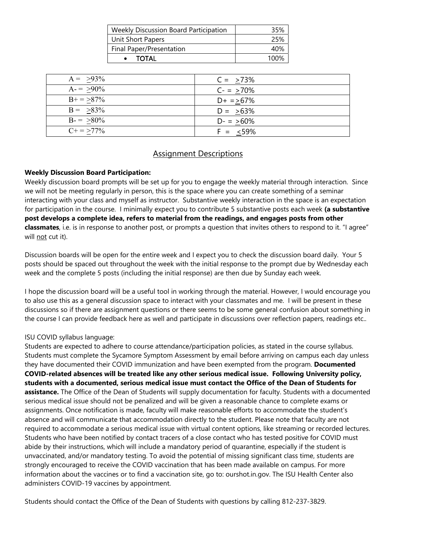| <b>Weekly Discussion Board Participation</b> | 35%  |
|----------------------------------------------|------|
| Unit Short Papers                            | 25%  |
| Final Paper/Presentation                     | 40%  |
| TOTAL                                        | 1በበ% |

| $A = 93\%$      | $C = 273%$     |
|-----------------|----------------|
| $A = 90\%$      | $C - = > 70\%$ |
| $B+=\geq 87\%$  | $D+ = >67\%$   |
| $B = 83\%$      | $D = 53\%$     |
| $B = >80\%$     | $D - = 50\%$   |
| $C_{+} = 277\%$ | $F = <59\%$    |

### Assignment Descriptions

#### **Weekly Discussion Board Participation:**

Weekly discussion board prompts will be set up for you to engage the weekly material through interaction. Since we will not be meeting regularly in person, this is the space where you can create something of a seminar interacting with your class and myself as instructor. Substantive weekly interaction in the space is an expectation for participation in the course. I minimally expect you to contribute 5 substantive posts each week **(a substantive post develops a complete idea, refers to material from the readings, and engages posts from other classmates**, i.e. is in response to another post, or prompts a question that invites others to respond to it. "I agree" will not cut it).

Discussion boards will be open for the entire week and I expect you to check the discussion board daily. Your 5 posts should be spaced out throughout the week with the initial response to the prompt due by Wednesday each week and the complete 5 posts (including the initial response) are then due by Sunday each week.

I hope the discussion board will be a useful tool in working through the material. However, I would encourage you to also use this as a general discussion space to interact with your classmates and me. I will be present in these discussions so if there are assignment questions or there seems to be some general confusion about something in the course I can provide feedback here as well and participate in discussions over reflection papers, readings etc..

#### ISU COVID syllabus language:

Students are expected to adhere to course attendance/participation policies, as stated in the course syllabus. Students must complete the Sycamore Symptom Assessment by email before arriving on campus each day unless they have documented their COVID immunization and have been exempted from the program. **Documented COVID-related absences will be treated like any other serious medical issue. Following University policy, students with a documented, serious medical issue must contact the Office of the Dean of Students for assistance.** The Office of the Dean of Students will supply documentation for faculty. Students with a documented serious medical issue should not be penalized and will be given a reasonable chance to complete exams or assignments. Once notification is made, faculty will make reasonable efforts to accommodate the student's absence and will communicate that accommodation directly to the student. Please note that faculty are not required to accommodate a serious medical issue with virtual content options, like streaming or recorded lectures. Students who have been notified by contact tracers of a close contact who has tested positive for COVID must abide by their instructions, which will include a mandatory period of quarantine, especially if the student is unvaccinated, and/or mandatory testing. To avoid the potential of missing significant class time, students are strongly encouraged to receive the COVID vaccination that has been made available on campus. For more information about the vaccines or to find a vaccination site, go to: ourshot.in.gov. The ISU Health Center also administers COVID-19 vaccines by appointment.

Students should contact the Office of the Dean of Students with questions by calling 812-237-3829.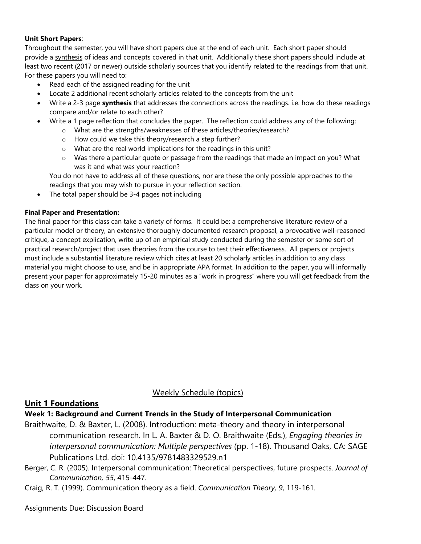#### **Unit Short Papers**:

Throughout the semester, you will have short papers due at the end of each unit. Each short paper should provide a synthesis of ideas and concepts covered in that unit. Additionally these short papers should include at least two recent (2017 or newer) outside scholarly sources that you identify related to the readings from that unit. For these papers you will need to:

- Read each of the assigned reading for the unit
- Locate 2 additional recent scholarly articles related to the concepts from the unit
- Write a 2-3 page **synthesis** that addresses the connections across the readings. i.e. how do these readings compare and/or relate to each other?
- Write a 1 page reflection that concludes the paper. The reflection could address any of the following:
	- o What are the strengths/weaknesses of these articles/theories/research?
	- o How could we take this theory/research a step further?
	- o What are the real world implications for the readings in this unit?
	- o Was there a particular quote or passage from the readings that made an impact on you? What was it and what was your reaction?

You do not have to address all of these questions, nor are these the only possible approaches to the readings that you may wish to pursue in your reflection section.

• The total paper should be 3-4 pages not including

#### **Final Paper and Presentation:**

The final paper for this class can take a variety of forms. It could be: a comprehensive literature review of a particular model or theory, an extensive thoroughly documented research proposal, a provocative well-reasoned critique, a concept explication, write up of an empirical study conducted during the semester or some sort of practical research/project that uses theories from the course to test their effectiveness. All papers or projects must include a substantial literature review which cites at least 20 scholarly articles in addition to any class material you might choose to use, and be in appropriate APA format. In addition to the paper, you will informally present your paper for approximately 15-20 minutes as a "work in progress" where you will get feedback from the class on your work.

### Weekly Schedule (topics)

### **Unit 1 Foundations**

#### **Week 1: Background and Current Trends in the Study of Interpersonal Communication**

- Braithwaite, D. & Baxter, L. (2008). Introduction: meta-theory and theory in interpersonal communication research. In L. A. Baxter & D. O. Braithwaite (Eds.), *Engaging theories in interpersonal communication: Multiple perspectives* (pp. 1-18). Thousand Oaks, CA: SAGE Publications Ltd. doi: 10.4135/9781483329529.n1
- Berger, C. R. (2005). Interpersonal communication: Theoretical perspectives, future prospects. *Journal of Communication, 55*, 415-447.
- Craig, R. T. (1999). Communication theory as a field. *Communication Theory, 9*, 119-161.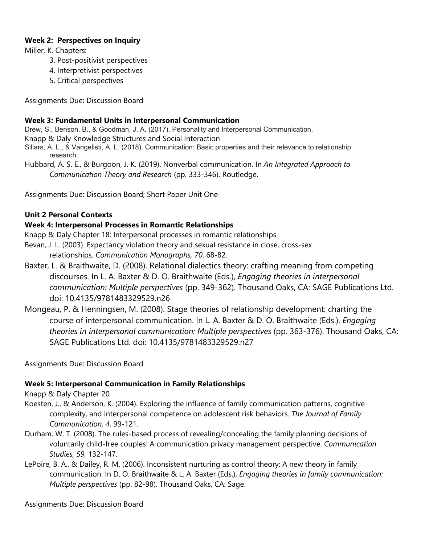#### **Week 2: Perspectives on Inquiry**

Miller, K. Chapters:

- 3. Post-positivist perspectives
- 4. Interpretivist perspectives
- 5. Critical perspectives

Assignments Due: Discussion Board

#### **Week 3: Fundamental Units in Interpersonal Communication**

Drew, S., Benson, B., & Goodman, J. A. (2017). Personality and Interpersonal Communication.

Knapp & Daly Knowledge Structures and Social Interaction

Sillars, A. L., & Vangelisti, A. L. (2018). Communication: Basic properties and their relevance to relationship research.

Hubbard, A. S. E., & Burgoon, J. K. (2019). Nonverbal communication. In *An Integrated Approach to Communication Theory and Research* (pp. 333-346). Routledge.

Assignments Due: Discussion Board; Short Paper Unit One

#### **Unit 2 Personal Contexts**

#### **Week 4: Interpersonal Processes in Romantic Relationships**

Knapp & Daly Chapter 18: Interpersonal processes in romantic relationships

- Bevan, J. L. (2003). Expectancy violation theory and sexual resistance in close, cross-sex relationships. *Communication Monographs, 70*, 68-82.
- Baxter, L. & Braithwaite, D. (2008). Relational dialectics theory: crafting meaning from competing discourses. In L. A. Baxter & D. O. Braithwaite (Eds.), *Engaging theories in interpersonal communication: Multiple perspectives* (pp. 349-362). Thousand Oaks, CA: SAGE Publications Ltd. doi: 10.4135/9781483329529.n26
- Mongeau, P. & Henningsen, M. (2008). Stage theories of relationship development: charting the course of interpersonal communication. In L. A. Baxter & D. O. Braithwaite (Eds.), *Engaging theories in interpersonal communication: Multiple perspectives* (pp. 363-376). Thousand Oaks, CA: SAGE Publications Ltd. doi: 10.4135/9781483329529.n27

Assignments Due: Discussion Board

### **Week 5: Interpersonal Communication in Family Relationships**

Knapp & Daly Chapter 20

- Koesten, J., & Anderson, K. (2004). Exploring the influence of family communication patterns, cognitive complexity, and interpersonal competence on adolescent risk behaviors. *The Journal of Family Communication, 4*, 99-121.
- Durham, W. T. (2008). The rules-based process of revealing/concealing the family planning decisions of voluntarily child-free couples: A communication privacy management perspective. *Communication Studies, 59*, 132-147.
- LePoire, B. A., & Dailey, R. M. (2006). Inconsistent nurturing as control theory: A new theory in family communication. In D. O. Braithwaite & L. A. Baxter (Eds.), *Engaging theories in family communication: Multiple perspectives* (pp. 82-98). Thousand Oaks, CA: Sage.

Assignments Due: Discussion Board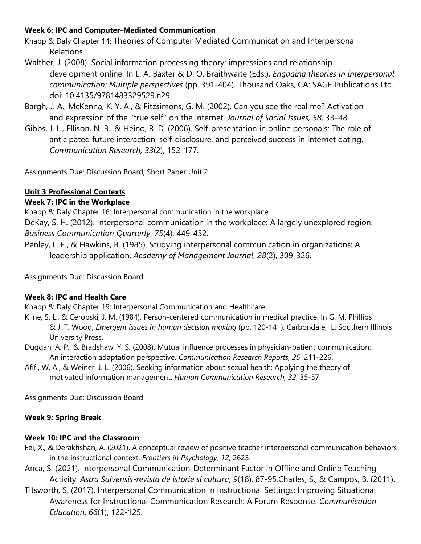# **Week 6: IPC and Computer-Mediated Communication**

- Knapp & Daly Chapter 14: Theories of Computer Mediated Communication and Interpersonal Relations
- Walther, J. (2008). Social information processing theory: impressions and relationship development online. In L. A. Baxter & D. O. Braithwaite (Eds.), *Engaging theories in interpersonal communication: Multiple perspectives* (pp. 391-404). Thousand Oaks, CA: SAGE Publications Ltd. doi: 10.4135/9781483329529.n29
- Bargh, J. A., McKenna, K. Y. A., & Fitzsimons, G. M. (2002). Can you see the real me? Activation and expression of the ''true self'' on the internet. *Journal of Social Issues, 58*, 33–48.
- Gibbs, J. L., Ellison, N. B., & Heino, R. D. (2006). Self-presentation in online personals: The role of anticipated future interaction, self-disclosure, and perceived success in Internet dating. *Communication Research, 33*(2), 152-177.

Assignments Due: Discussion Board; Short Paper Unit 2

# **Unit 3 Professional Contexts**

# **Week 7: IPC in the Workplace**

Knapp & Daly Chapter 16: Interpersonal communication in the workplace DeKay, S. H. (2012). Interpersonal communication in the workplace: A largely unexplored region. *Business Communication Quarterly*, *75*(4), 449-452.

Penley, L. E., & Hawkins, B. (1985). Studying interpersonal communication in organizations: A leadership application. *Academy of Management Journal*, *28*(2), 309-326.

Assignments Due: Discussion Board

# **Week 8: IPC and Health Care**

Knapp & Daly Chapter 19: Interpersonal Communication and Healthcare

- Kline, S. L., & Ceropski, J. M. (1984). Person-centered communication in medical practice. In G. M. Phillips & J. T. Wood, *Emergent issues in human decision making* (pp. 120-141). Carbondale, IL: Southern Illinois University Press.
- Duggan, A. P., & Bradshaw, Y. S. (2008). Mutual influence processes in physician-patient communication: An interaction adaptation perspective. *Communication Research Reports, 25*, 211-226.
- Afifi, W. A., & Weiner, J. L. (2006). Seeking information about sexual health: Applying the theory of motivated information management. *Human Communication Research, 32*, 35-57.

Assignments Due: Discussion Board

# **Week 9: Spring Break**

# **Week 10: IPC and the Classroom**

- Fei, X., & Derakhshan, A. (2021). A conceptual review of positive teacher interpersonal communication behaviors in the instructional context. *Frontiers in Psychology*, *12*, 2623.
- Anca, S. (2021). Interpersonal Communication-Determinant Factor in Offline and Online Teaching Activity. *Astra Salvensis-revista de istorie si cultura*, *9*(18), 87-95.Charles, S., & Campos, B. (2011).
- Titsworth, S. (2017). Interpersonal Communication in Instructional Settings: Improving Situational Awareness for Instructional Communication Research: A Forum Response. *Communication Education*, *66*(1), 122-125.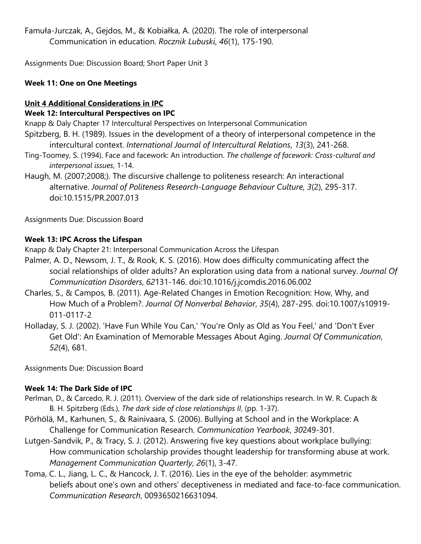Famuła-Jurczak, A., Gejdos, M., & Kobiałka, A. (2020). The role of interpersonal Communication in education. *Rocznik Lubuski*, *46*(1), 175-190.

Assignments Due: Discussion Board; Short Paper Unit 3

### **Week 11: One on One Meetings**

### **Unit 4 Additional Considerations in IPC Week 12: Intercultural Perspectives on IPC**

Knapp & Daly Chapter 17 Intercultural Perspectives on Interpersonal Communication

- Spitzberg, B. H. (1989). Issues in the development of a theory of interpersonal competence in the intercultural context. *International Journal of Intercultural Relations*, *13*(3), 241-268.
- Ting-Toomey, S. (1994). Face and facework: An introduction. *The challenge of facework: Cross-cultural and interpersonal issues*, 1-14.
- Haugh, M. (2007;2008;). The discursive challenge to politeness research: An interactional alternative. *Journal of Politeness Research-Language Behaviour Culture, 3*(2), 295-317. doi:10.1515/PR.2007.013

Assignments Due: Discussion Board

## **Week 13: IPC Across the Lifespan**

Knapp & Daly Chapter 21: Interpersonal Communication Across the Lifespan

- Palmer, A. D., Newsom, J. T., & Rook, K. S. (2016). How does difficulty communicating affect the social relationships of older adults? An exploration using data from a national survey. *Journal Of Communication Disorders*, *62*131-146. doi:10.1016/j.jcomdis.2016.06.002
- Charles, S., & Campos, B. (2011). Age-Related Changes in Emotion Recognition: How, Why, and How Much of a Problem?. *Journal Of Nonverbal Behavior*, *35*(4), 287-295. doi:10.1007/s10919- 011-0117-2
- Holladay, S. J. (2002). 'Have Fun While You Can,' 'You're Only as Old as You Feel,' and 'Don't Ever Get Old': An Examination of Memorable Messages About Aging. *Journal Of Communication*, *52*(4), 681.

Assignments Due: Discussion Board

# **Week 14: The Dark Side of IPC**

- Perlman, D., & Carcedo, R. J. (2011). Overview of the dark side of relationships research. In W. R. Cupach & B. H. Spitzberg (Eds.), *The dark side of close relationships II*, (pp. 1-37).
- Pörhölä, M., Karhunen, S., & Rainivaara, S. (2006). Bullying at School and in the Workplace: A Challenge for Communication Research. *Communication Yearbook*, *30*249-301.
- Lutgen-Sandvik, P., & Tracy, S. J. (2012). Answering five key questions about workplace bullying: How communication scholarship provides thought leadership for transforming abuse at work. *Management Communication Quarterly*, *26*(1), 3-47.
- Toma, C. L., Jiang, L. C., & Hancock, J. T. (2016). Lies in the eye of the beholder: asymmetric beliefs about one's own and others' deceptiveness in mediated and face-to-face communication. *Communication Research*, 0093650216631094.